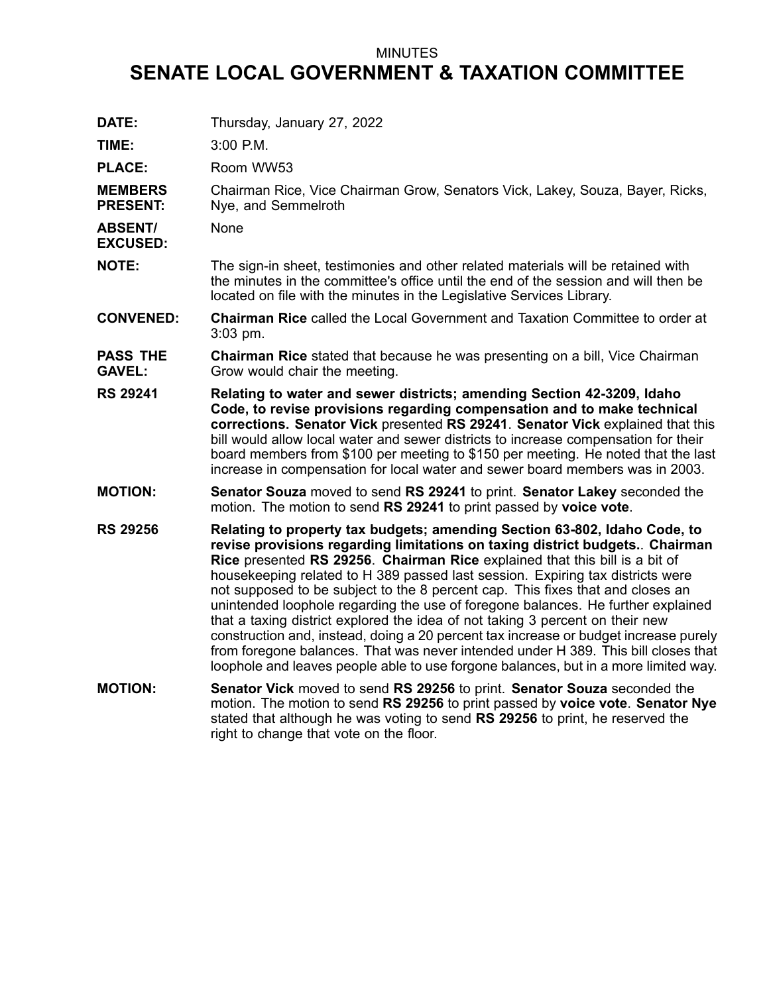## MINUTES

## **SENATE LOCAL GOVERNMENT & TAXATION COMMITTEE**

| DATE:                             | Thursday, January 27, 2022                                                                                                                                                                                                                                                                                                                                                                                                                                                                                                                                                                                                                                                                                                                                                                                                                            |
|-----------------------------------|-------------------------------------------------------------------------------------------------------------------------------------------------------------------------------------------------------------------------------------------------------------------------------------------------------------------------------------------------------------------------------------------------------------------------------------------------------------------------------------------------------------------------------------------------------------------------------------------------------------------------------------------------------------------------------------------------------------------------------------------------------------------------------------------------------------------------------------------------------|
| TIME:                             | 3:00 P.M.                                                                                                                                                                                                                                                                                                                                                                                                                                                                                                                                                                                                                                                                                                                                                                                                                                             |
| <b>PLACE:</b>                     | Room WW53                                                                                                                                                                                                                                                                                                                                                                                                                                                                                                                                                                                                                                                                                                                                                                                                                                             |
| <b>MEMBERS</b><br><b>PRESENT:</b> | Chairman Rice, Vice Chairman Grow, Senators Vick, Lakey, Souza, Bayer, Ricks,<br>Nye, and Semmelroth                                                                                                                                                                                                                                                                                                                                                                                                                                                                                                                                                                                                                                                                                                                                                  |
| <b>ABSENT/</b><br><b>EXCUSED:</b> | None                                                                                                                                                                                                                                                                                                                                                                                                                                                                                                                                                                                                                                                                                                                                                                                                                                                  |
| <b>NOTE:</b>                      | The sign-in sheet, testimonies and other related materials will be retained with<br>the minutes in the committee's office until the end of the session and will then be<br>located on file with the minutes in the Legislative Services Library.                                                                                                                                                                                                                                                                                                                                                                                                                                                                                                                                                                                                      |
| <b>CONVENED:</b>                  | Chairman Rice called the Local Government and Taxation Committee to order at<br>3:03 pm.                                                                                                                                                                                                                                                                                                                                                                                                                                                                                                                                                                                                                                                                                                                                                              |
| <b>PASS THE</b><br><b>GAVEL:</b>  | Chairman Rice stated that because he was presenting on a bill, Vice Chairman<br>Grow would chair the meeting.                                                                                                                                                                                                                                                                                                                                                                                                                                                                                                                                                                                                                                                                                                                                         |
| <b>RS 29241</b>                   | Relating to water and sewer districts; amending Section 42-3209, Idaho<br>Code, to revise provisions regarding compensation and to make technical<br>corrections. Senator Vick presented RS 29241. Senator Vick explained that this<br>bill would allow local water and sewer districts to increase compensation for their<br>board members from \$100 per meeting to \$150 per meeting. He noted that the last<br>increase in compensation for local water and sewer board members was in 2003.                                                                                                                                                                                                                                                                                                                                                      |
| <b>MOTION:</b>                    | Senator Souza moved to send RS 29241 to print. Senator Lakey seconded the<br>motion. The motion to send RS 29241 to print passed by voice vote.                                                                                                                                                                                                                                                                                                                                                                                                                                                                                                                                                                                                                                                                                                       |
| <b>RS 29256</b>                   | Relating to property tax budgets; amending Section 63-802, Idaho Code, to<br>revise provisions regarding limitations on taxing district budgets Chairman<br>Rice presented RS 29256. Chairman Rice explained that this bill is a bit of<br>housekeeping related to H 389 passed last session. Expiring tax districts were<br>not supposed to be subject to the 8 percent cap. This fixes that and closes an<br>unintended loophole regarding the use of foregone balances. He further explained<br>that a taxing district explored the idea of not taking 3 percent on their new<br>construction and, instead, doing a 20 percent tax increase or budget increase purely<br>from foregone balances. That was never intended under H 389. This bill closes that<br>loophole and leaves people able to use forgone balances, but in a more limited way. |
| <b>MOTION:</b>                    | Senator Vick moved to send RS 29256 to print. Senator Souza seconded the<br>motion. The motion to send RS 29256 to print passed by voice vote. Senator Nye<br>stated that although he was voting to send RS 29256 to print, he reserved the<br>right to change that vote on the floor.                                                                                                                                                                                                                                                                                                                                                                                                                                                                                                                                                                |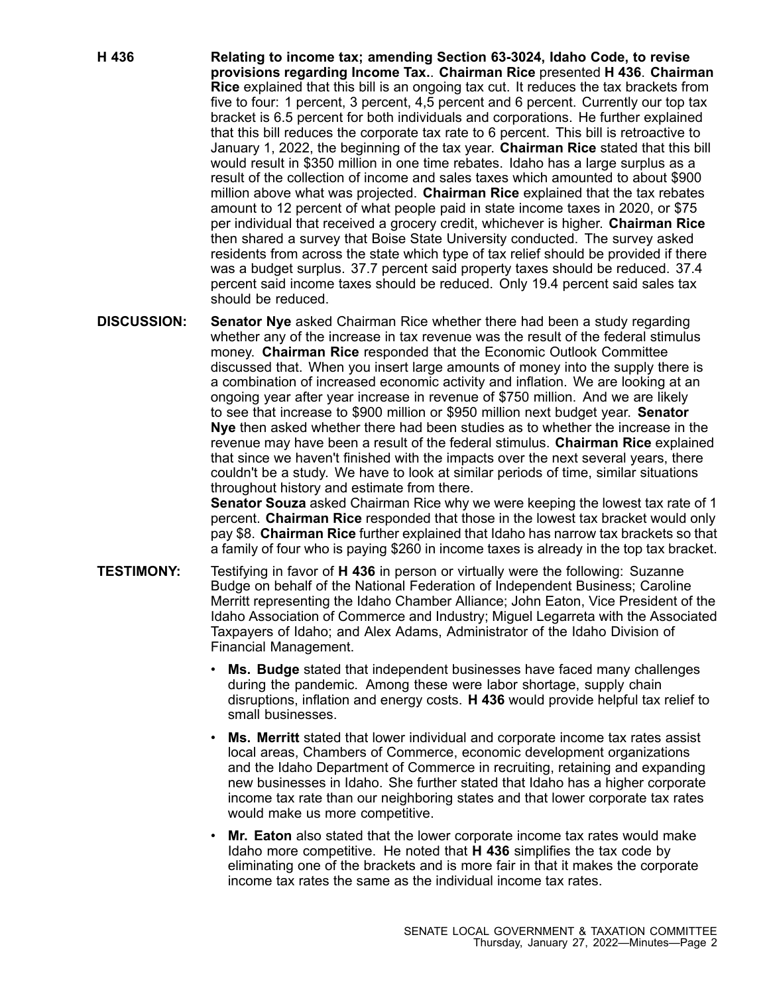- **H 436 Relating to income tax; amending Section 63-3024, Idaho Code, to revise provisions regarding Income Tax.**. **Chairman Rice** presented **H 436**. **Chairman Rice** explained that this bill is an ongoing tax cut. It reduces the tax brackets from five to four: 1 percent, 3 percent, 4,5 percent and 6 percent. Currently our top tax bracket is 6.5 percent for both individuals and corporations. He further explained that this bill reduces the corporate tax rate to 6 percent. This bill is retroactive to January 1, 2022, the beginning of the tax year. **Chairman Rice** stated that this bill would result in \$350 million in one time rebates. Idaho has <sup>a</sup> large surplus as <sup>a</sup> result of the collection of income and sales taxes which amounted to about \$900 million above what was projected. **Chairman Rice** explained that the tax rebates amount to 12 percent of what people paid in state income taxes in 2020, or \$75 per individual that received <sup>a</sup> grocery credit, whichever is higher. **Chairman Rice** then shared <sup>a</sup> survey that Boise State University conducted. The survey asked residents from across the state which type of tax relief should be provided if there was <sup>a</sup> budget surplus. 37.7 percent said property taxes should be reduced. 37.4 percent said income taxes should be reduced. Only 19.4 percent said sales tax should be reduced.
- **DISCUSSION: Senator Nye** asked Chairman Rice whether there had been <sup>a</sup> study regarding whether any of the increase in tax revenue was the result of the federal stimulus money. **Chairman Rice** responded that the Economic Outlook Committee discussed that. When you insert large amounts of money into the supply there is <sup>a</sup> combination of increased economic activity and inflation. We are looking at an ongoing year after year increase in revenue of \$750 million. And we are likely to see that increase to \$900 million or \$950 million next budget year. **Senator Nye** then asked whether there had been studies as to whether the increase in the revenue may have been <sup>a</sup> result of the federal stimulus. **Chairman Rice** explained that since we haven't finished with the impacts over the next several years, there couldn't be <sup>a</sup> study. We have to look at similar periods of time, similar situations throughout history and estimate from there.

**Senator Souza** asked Chairman Rice why we were keeping the lowest tax rate of 1 percent. **Chairman Rice** responded that those in the lowest tax bracket would only pay \$8. **Chairman Rice** further explained that Idaho has narrow tax brackets so that <sup>a</sup> family of four who is paying \$260 in income taxes is already in the top tax bracket.

- **TESTIMONY:** Testifying in favor of **H 436** in person or virtually were the following: Suzanne Budge on behalf of the National Federation of Independent Business; Caroline Merritt representing the Idaho Chamber Alliance; John Eaton, Vice President of the Idaho Association of Commerce and Industry; Miguel Legarreta with the Associated Taxpayers of Idaho; and Alex Adams, Administrator of the Idaho Division of Financial Management.
	- • **Ms. Budge** stated that independent businesses have faced many challenges during the pandemic. Among these were labor shortage, supply chain disruptions, inflation and energy costs. **H 436** would provide helpful tax relief to small businesses.
	- • **Ms. Merritt** stated that lower individual and corporate income tax rates assist local areas, Chambers of Commerce, economic development organizations and the Idaho Department of Commerce in recruiting, retaining and expanding new businesses in Idaho. She further stated that Idaho has <sup>a</sup> higher corporate income tax rate than our neighboring states and that lower corporate tax rates would make us more competitive.
	- • **Mr. Eaton** also stated that the lower corporate income tax rates would make Idaho more competitive. He noted that **H 436** simplifies the tax code by eliminating one of the brackets and is more fair in that it makes the corporate income tax rates the same as the individual income tax rates.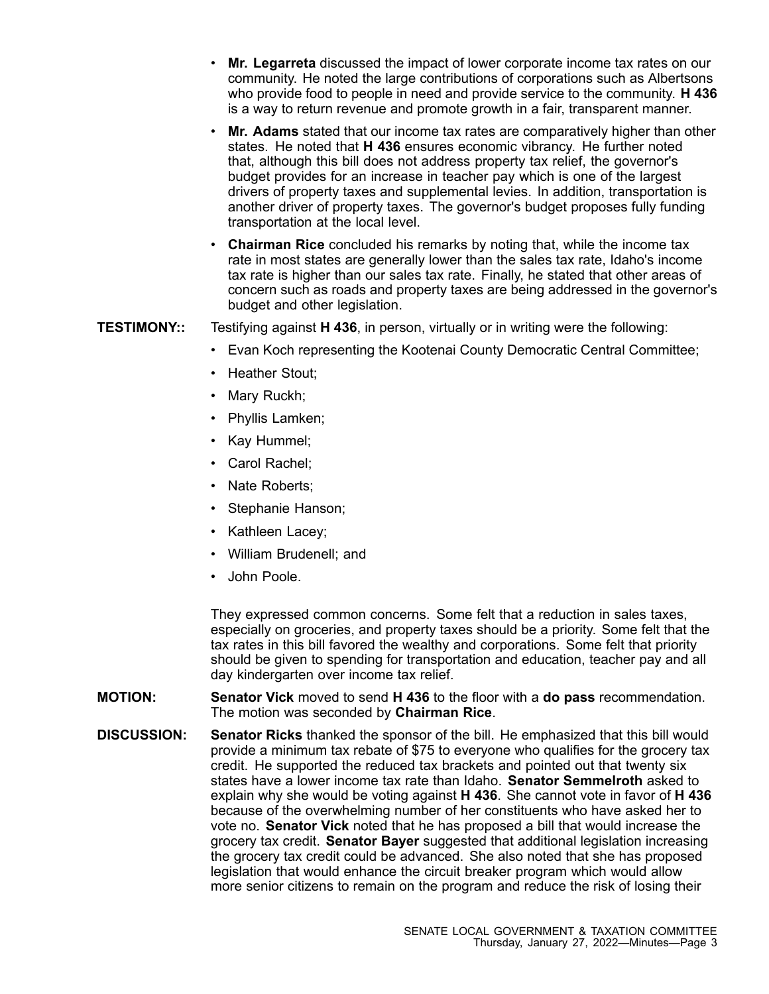- • **Mr. Legarreta** discussed the impact of lower corporate income tax rates on our community. He noted the large contributions of corporations such as Albertsons who provide food to people in need and provide service to the community. **H 436** is <sup>a</sup> way to return revenue and promote growth in <sup>a</sup> fair, transparent manner.
- • **Mr. Adams** stated that our income tax rates are comparatively higher than other states. He noted that **H 436** ensures economic vibrancy. He further noted that, although this bill does not address property tax relief, the governor's budget provides for an increase in teacher pay which is one of the largest drivers of property taxes and supplemental levies. In addition, transportation is another driver of property taxes. The governor's budget proposes fully funding transportation at the local level.
- **Chairman Rice** concluded his remarks by noting that, while the income tax rate in most states are generally lower than the sales tax rate, Idaho's income tax rate is higher than our sales tax rate. Finally, he stated that other areas of concern such as roads and property taxes are being addressed in the governor's budget and other legislation.

**TESTIMONY::** Testifying against **H 436**, in person, virtually or in writing were the following:

- •Evan Koch representing the Kootenai County Democratic Central Committee;
- Heather Stout;
- •Mary Ruckh;
- •Phyllis Lamken;
- •Kay Hummel;
- Carol Rachel;
- Nate Roberts;
- Stephanie Hanson;
- Kathleen Lacey;
- William Brudenell; and
- John Poole.

They expressed common concerns. Some felt that <sup>a</sup> reduction in sales taxes, especially on groceries, and property taxes should be <sup>a</sup> priority. Some felt that the tax rates in this bill favored the wealthy and corporations. Some felt that priority should be given to spending for transportation and education, teacher pay and all day kindergarten over income tax relief.

- **MOTION: Senator Vick** moved to send **H 436** to the floor with <sup>a</sup> **do pass** recommendation. The motion was seconded by **Chairman Rice**.
- **DISCUSSION: Senator Ricks** thanked the sponsor of the bill. He emphasized that this bill would provide <sup>a</sup> minimum tax rebate of \$75 to everyone who qualifies for the grocery tax credit. He supported the reduced tax brackets and pointed out that twenty six states have a lower income tax rate than Idaho. **Senator Semmelroth** asked to explain why she would be voting against **H 436**. She cannot vote in favor of **H 436** because of the overwhelming number of her constituents who have asked her to vote no. **Senator Vick** noted that he has proposed <sup>a</sup> bill that would increase the grocery tax credit. **Senator Bayer** suggested that additional legislation increasing the grocery tax credit could be advanced. She also noted that she has proposed legislation that would enhance the circuit breaker program which would allow more senior citizens to remain on the program and reduce the risk of losing their